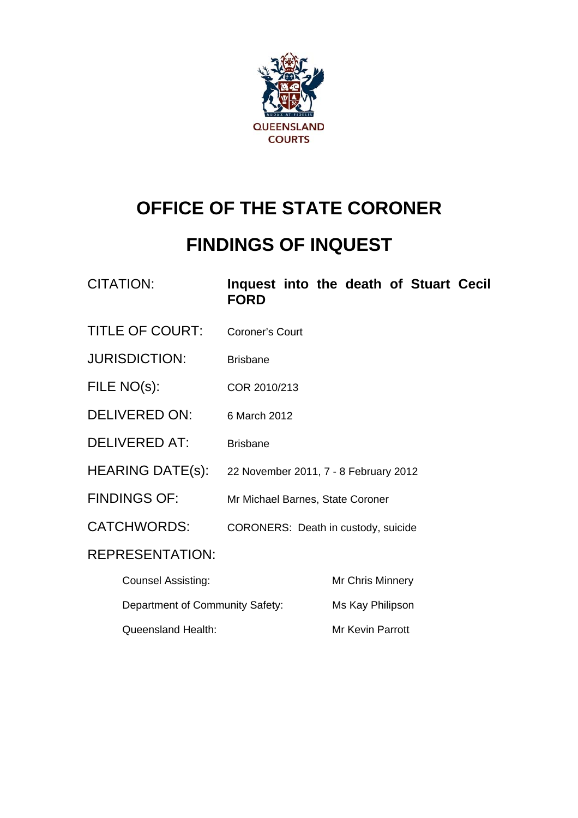

# **OFFICE OF THE STATE CORONER**

# **FINDINGS OF INQUEST**

| <b>CITATION:</b> | Inquest into the death of Stuart Cecil |  |  |  |
|------------------|----------------------------------------|--|--|--|
|                  | <b>FORD</b>                            |  |  |  |

- TITLE OF COURT: Coroner's Court
- JURISDICTION: Brisbane
- FILE NO(s): COR 2010/213
- DELIVERED ON: 6 March 2012
- DELIVERED AT: Brisbane
- HEARING DATE(s): 22 November 2011, 7 8 February 2012
- FINDINGS OF: Mr Michael Barnes, State Coroner
- CATCHWORDS: CORONERS: Death in custody, suicide

### REPRESENTATION:

| Counsel Assisting:              | <b>Mr Chris Minnery</b> |
|---------------------------------|-------------------------|
| Department of Community Safety: | Ms Kay Philipson        |
| Queensland Health:              | Mr Kevin Parrott        |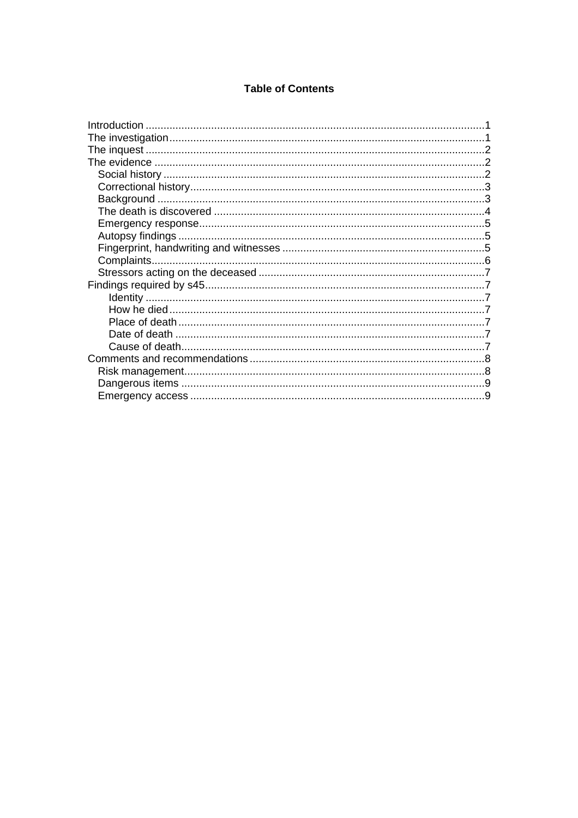#### **Table of Contents**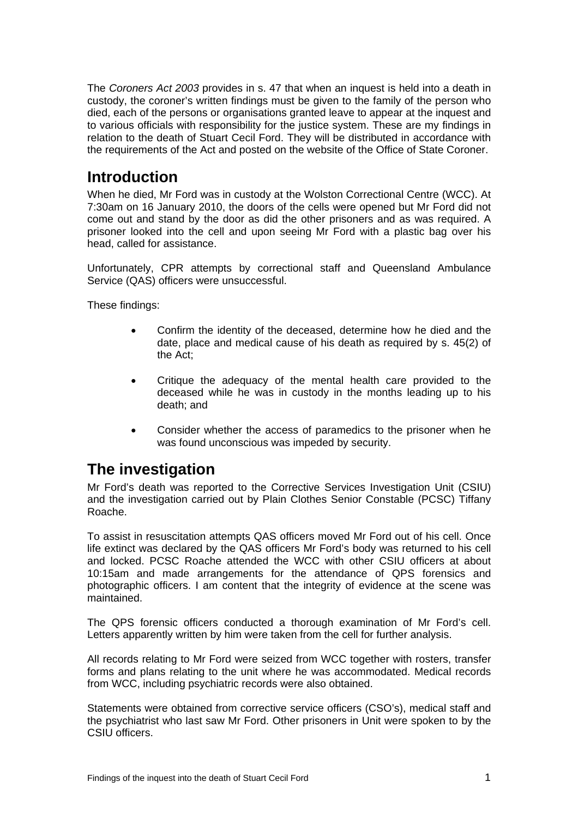<span id="page-2-0"></span>The *Coroners Act 2003* provides in s. 47 that when an inquest is held into a death in custody, the coroner's written findings must be given to the family of the person who died, each of the persons or organisations granted leave to appear at the inquest and to various officials with responsibility for the justice system. These are my findings in relation to the death of Stuart Cecil Ford. They will be distributed in accordance with the requirements of the Act and posted on the website of the Office of State Coroner.

# **Introduction**

When he died, Mr Ford was in custody at the Wolston Correctional Centre (WCC). At 7:30am on 16 January 2010, the doors of the cells were opened but Mr Ford did not come out and stand by the door as did the other prisoners and as was required. A prisoner looked into the cell and upon seeing Mr Ford with a plastic bag over his head, called for assistance.

Unfortunately, CPR attempts by correctional staff and Queensland Ambulance Service (QAS) officers were unsuccessful.

These findings:

- Confirm the identity of the deceased, determine how he died and the date, place and medical cause of his death as required by s. 45(2) of the Act;
- Critique the adequacy of the mental health care provided to the deceased while he was in custody in the months leading up to his death; and
- Consider whether the access of paramedics to the prisoner when he was found unconscious was impeded by security.

# **The investigation**

Mr Ford's death was reported to the Corrective Services Investigation Unit (CSIU) and the investigation carried out by Plain Clothes Senior Constable (PCSC) Tiffany Roache.

To assist in resuscitation attempts QAS officers moved Mr Ford out of his cell. Once life extinct was declared by the QAS officers Mr Ford's body was returned to his cell and locked. PCSC Roache attended the WCC with other CSIU officers at about 10:15am and made arrangements for the attendance of QPS forensics and photographic officers. I am content that the integrity of evidence at the scene was maintained.

The QPS forensic officers conducted a thorough examination of Mr Ford's cell. Letters apparently written by him were taken from the cell for further analysis.

All records relating to Mr Ford were seized from WCC together with rosters, transfer forms and plans relating to the unit where he was accommodated. Medical records from WCC, including psychiatric records were also obtained.

Statements were obtained from corrective service officers (CSO's), medical staff and the psychiatrist who last saw Mr Ford. Other prisoners in Unit were spoken to by the CSIU officers.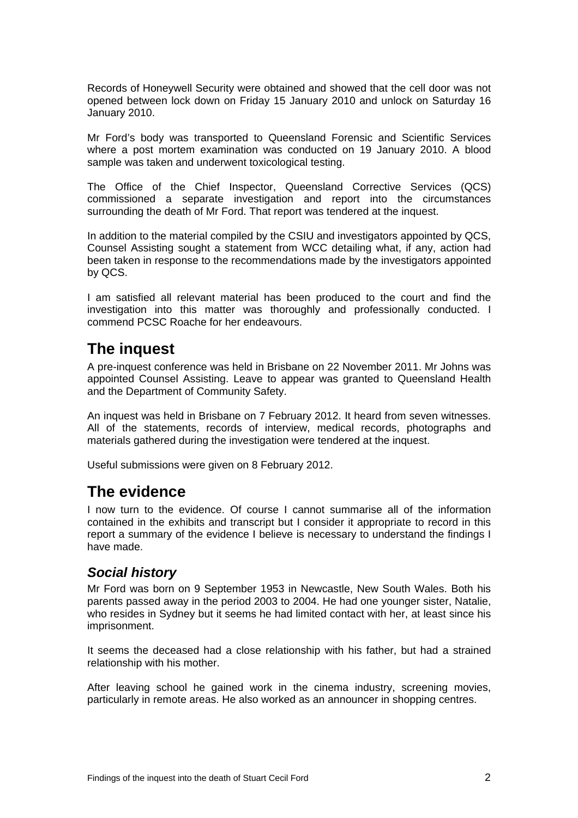<span id="page-3-0"></span>Records of Honeywell Security were obtained and showed that the cell door was not opened between lock down on Friday 15 January 2010 and unlock on Saturday 16 January 2010.

Mr Ford's body was transported to Queensland Forensic and Scientific Services where a post mortem examination was conducted on 19 January 2010. A blood sample was taken and underwent toxicological testing.

The Office of the Chief Inspector, Queensland Corrective Services (QCS) commissioned a separate investigation and report into the circumstances surrounding the death of Mr Ford. That report was tendered at the inquest.

In addition to the material compiled by the CSIU and investigators appointed by QCS, Counsel Assisting sought a statement from WCC detailing what, if any, action had been taken in response to the recommendations made by the investigators appointed by QCS.

I am satisfied all relevant material has been produced to the court and find the investigation into this matter was thoroughly and professionally conducted. I commend PCSC Roache for her endeavours.

# **The inquest**

A pre-inquest conference was held in Brisbane on 22 November 2011. Mr Johns was appointed Counsel Assisting. Leave to appear was granted to Queensland Health and the Department of Community Safety.

An inquest was held in Brisbane on 7 February 2012. It heard from seven witnesses. All of the statements, records of interview, medical records, photographs and materials gathered during the investigation were tendered at the inquest.

Useful submissions were given on 8 February 2012.

## **The evidence**

I now turn to the evidence. Of course I cannot summarise all of the information contained in the exhibits and transcript but I consider it appropriate to record in this report a summary of the evidence I believe is necessary to understand the findings I have made.

### *Social history*

Mr Ford was born on 9 September 1953 in Newcastle, New South Wales. Both his parents passed away in the period 2003 to 2004. He had one younger sister, Natalie, who resides in Sydney but it seems he had limited contact with her, at least since his imprisonment.

It seems the deceased had a close relationship with his father, but had a strained relationship with his mother.

After leaving school he gained work in the cinema industry, screening movies, particularly in remote areas. He also worked as an announcer in shopping centres.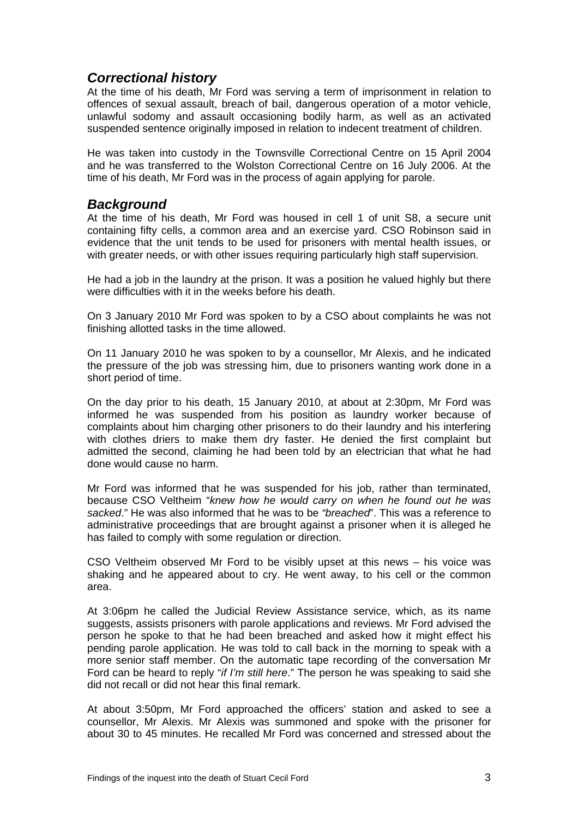### <span id="page-4-0"></span>*Correctional history*

At the time of his death, Mr Ford was serving a term of imprisonment in relation to offences of sexual assault, breach of bail, dangerous operation of a motor vehicle, unlawful sodomy and assault occasioning bodily harm, as well as an activated suspended sentence originally imposed in relation to indecent treatment of children.

He was taken into custody in the Townsville Correctional Centre on 15 April 2004 and he was transferred to the Wolston Correctional Centre on 16 July 2006. At the time of his death, Mr Ford was in the process of again applying for parole.

#### *Background*

At the time of his death, Mr Ford was housed in cell 1 of unit S8, a secure unit containing fifty cells, a common area and an exercise yard. CSO Robinson said in evidence that the unit tends to be used for prisoners with mental health issues, or with greater needs, or with other issues requiring particularly high staff supervision.

He had a job in the laundry at the prison. It was a position he valued highly but there were difficulties with it in the weeks before his death.

On 3 January 2010 Mr Ford was spoken to by a CSO about complaints he was not finishing allotted tasks in the time allowed.

On 11 January 2010 he was spoken to by a counsellor, Mr Alexis, and he indicated the pressure of the job was stressing him, due to prisoners wanting work done in a short period of time.

On the day prior to his death, 15 January 2010, at about at 2:30pm, Mr Ford was informed he was suspended from his position as laundry worker because of complaints about him charging other prisoners to do their laundry and his interfering with clothes driers to make them dry faster. He denied the first complaint but admitted the second, claiming he had been told by an electrician that what he had done would cause no harm.

Mr Ford was informed that he was suspended for his job, rather than terminated, because CSO Veltheim "*knew how he would carry on when he found out he was sacked*." He was also informed that he was to be *"breached*". This was a reference to administrative proceedings that are brought against a prisoner when it is alleged he has failed to comply with some regulation or direction.

CSO Veltheim observed Mr Ford to be visibly upset at this news – his voice was shaking and he appeared about to cry. He went away, to his cell or the common area.

At 3:06pm he called the Judicial Review Assistance service, which, as its name suggests, assists prisoners with parole applications and reviews. Mr Ford advised the person he spoke to that he had been breached and asked how it might effect his pending parole application. He was told to call back in the morning to speak with a more senior staff member. On the automatic tape recording of the conversation Mr Ford can be heard to reply "*if I'm still here*." The person he was speaking to said she did not recall or did not hear this final remark.

At about 3:50pm, Mr Ford approached the officers' station and asked to see a counsellor, Mr Alexis. Mr Alexis was summoned and spoke with the prisoner for about 30 to 45 minutes. He recalled Mr Ford was concerned and stressed about the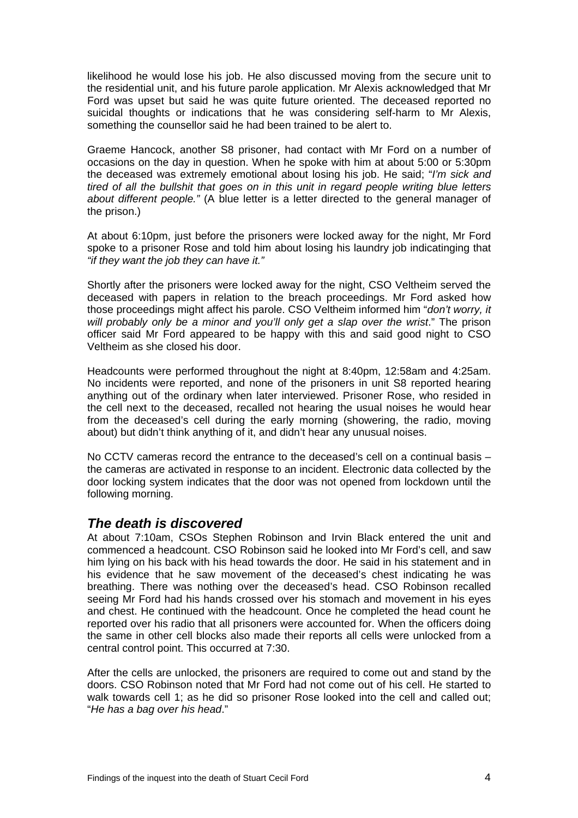<span id="page-5-0"></span>likelihood he would lose his job. He also discussed moving from the secure unit to the residential unit, and his future parole application. Mr Alexis acknowledged that Mr Ford was upset but said he was quite future oriented. The deceased reported no suicidal thoughts or indications that he was considering self-harm to Mr Alexis, something the counsellor said he had been trained to be alert to.

Graeme Hancock, another S8 prisoner, had contact with Mr Ford on a number of occasions on the day in question. When he spoke with him at about 5:00 or 5:30pm the deceased was extremely emotional about losing his job. He said; "*I'm sick and tired of all the bullshit that goes on in this unit in regard people writing blue letters about different people."* (A blue letter is a letter directed to the general manager of the prison.)

At about 6:10pm, just before the prisoners were locked away for the night, Mr Ford spoke to a prisoner Rose and told him about losing his laundry job indicatinging that *"if they want the job they can have it."* 

Shortly after the prisoners were locked away for the night, CSO Veltheim served the deceased with papers in relation to the breach proceedings. Mr Ford asked how those proceedings might affect his parole. CSO Veltheim informed him "*don't worry, it will probably only be a minor and you'll only get a slap over the wrist*." The prison officer said Mr Ford appeared to be happy with this and said good night to CSO Veltheim as she closed his door.

Headcounts were performed throughout the night at 8:40pm, 12:58am and 4:25am. No incidents were reported, and none of the prisoners in unit S8 reported hearing anything out of the ordinary when later interviewed. Prisoner Rose, who resided in the cell next to the deceased, recalled not hearing the usual noises he would hear from the deceased's cell during the early morning (showering, the radio, moving about) but didn't think anything of it, and didn't hear any unusual noises.

No CCTV cameras record the entrance to the deceased's cell on a continual basis – the cameras are activated in response to an incident. Electronic data collected by the door locking system indicates that the door was not opened from lockdown until the following morning.

#### *The death is discovered*

At about 7:10am, CSOs Stephen Robinson and Irvin Black entered the unit and commenced a headcount. CSO Robinson said he looked into Mr Ford's cell, and saw him lying on his back with his head towards the door. He said in his statement and in his evidence that he saw movement of the deceased's chest indicating he was breathing. There was nothing over the deceased's head. CSO Robinson recalled seeing Mr Ford had his hands crossed over his stomach and movement in his eyes and chest. He continued with the headcount. Once he completed the head count he reported over his radio that all prisoners were accounted for. When the officers doing the same in other cell blocks also made their reports all cells were unlocked from a central control point. This occurred at 7:30.

After the cells are unlocked, the prisoners are required to come out and stand by the doors. CSO Robinson noted that Mr Ford had not come out of his cell. He started to walk towards cell 1; as he did so prisoner Rose looked into the cell and called out; "*He has a bag over his head*."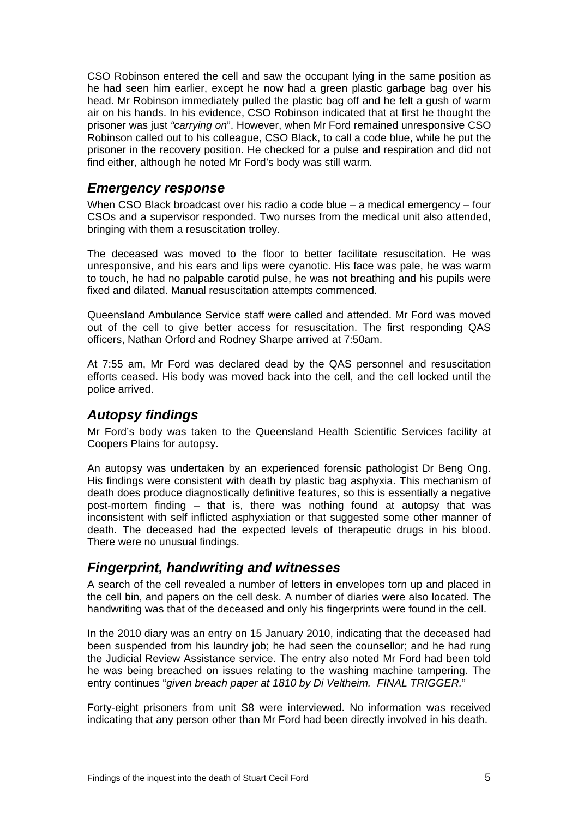<span id="page-6-0"></span>CSO Robinson entered the cell and saw the occupant lying in the same position as he had seen him earlier, except he now had a green plastic garbage bag over his head. Mr Robinson immediately pulled the plastic bag off and he felt a gush of warm air on his hands. In his evidence, CSO Robinson indicated that at first he thought the prisoner was just *"carrying on*". However, when Mr Ford remained unresponsive CSO Robinson called out to his colleague, CSO Black, to call a code blue, while he put the prisoner in the recovery position. He checked for a pulse and respiration and did not find either, although he noted Mr Ford's body was still warm.

#### *Emergency response*

When CSO Black broadcast over his radio a code blue – a medical emergency – four CSOs and a supervisor responded. Two nurses from the medical unit also attended, bringing with them a resuscitation trolley.

The deceased was moved to the floor to better facilitate resuscitation. He was unresponsive, and his ears and lips were cyanotic. His face was pale, he was warm to touch, he had no palpable carotid pulse, he was not breathing and his pupils were fixed and dilated. Manual resuscitation attempts commenced.

Queensland Ambulance Service staff were called and attended. Mr Ford was moved out of the cell to give better access for resuscitation. The first responding QAS officers, Nathan Orford and Rodney Sharpe arrived at 7:50am.

At 7:55 am, Mr Ford was declared dead by the QAS personnel and resuscitation efforts ceased. His body was moved back into the cell, and the cell locked until the police arrived.

### *Autopsy findings*

Mr Ford's body was taken to the Queensland Health Scientific Services facility at Coopers Plains for autopsy.

An autopsy was undertaken by an experienced forensic pathologist Dr Beng Ong. His findings were consistent with death by plastic bag asphyxia. This mechanism of death does produce diagnostically definitive features, so this is essentially a negative post-mortem finding – that is, there was nothing found at autopsy that was inconsistent with self inflicted asphyxiation or that suggested some other manner of death. The deceased had the expected levels of therapeutic drugs in his blood. There were no unusual findings.

#### *Fingerprint, handwriting and witnesses*

A search of the cell revealed a number of letters in envelopes torn up and placed in the cell bin, and papers on the cell desk. A number of diaries were also located. The handwriting was that of the deceased and only his fingerprints were found in the cell.

In the 2010 diary was an entry on 15 January 2010, indicating that the deceased had been suspended from his laundry job; he had seen the counsellor; and he had rung the Judicial Review Assistance service. The entry also noted Mr Ford had been told he was being breached on issues relating to the washing machine tampering. The entry continues "*given breach paper at 1810 by Di Veltheim. FINAL TRIGGER.*"

Forty-eight prisoners from unit S8 were interviewed. No information was received indicating that any person other than Mr Ford had been directly involved in his death.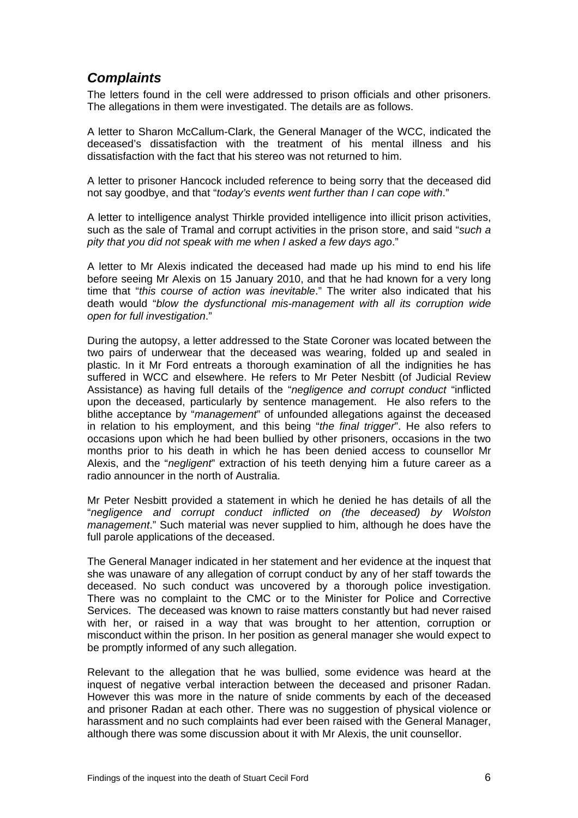### <span id="page-7-0"></span>*Complaints*

The letters found in the cell were addressed to prison officials and other prisoners. The allegations in them were investigated. The details are as follows.

A letter to Sharon McCallum-Clark, the General Manager of the WCC, indicated the deceased's dissatisfaction with the treatment of his mental illness and his dissatisfaction with the fact that his stereo was not returned to him.

A letter to prisoner Hancock included reference to being sorry that the deceased did not say goodbye, and that "*today's events went further than I can cope with*."

A letter to intelligence analyst Thirkle provided intelligence into illicit prison activities, such as the sale of Tramal and corrupt activities in the prison store, and said "*such a pity that you did not speak with me when I asked a few days ago*."

A letter to Mr Alexis indicated the deceased had made up his mind to end his life before seeing Mr Alexis on 15 January 2010, and that he had known for a very long time that "*this course of action was inevitable*." The writer also indicated that his death would "*blow the dysfunctional mis-management with all its corruption wide open for full investigation*."

During the autopsy, a letter addressed to the State Coroner was located between the two pairs of underwear that the deceased was wearing, folded up and sealed in plastic. In it Mr Ford entreats a thorough examination of all the indignities he has suffered in WCC and elsewhere. He refers to Mr Peter Nesbitt (of Judicial Review Assistance) as having full details of the "*negligence and corrupt conduct* "inflicted upon the deceased, particularly by sentence management. He also refers to the blithe acceptance by "*management*" of unfounded allegations against the deceased in relation to his employment, and this being "*the final trigger*". He also refers to occasions upon which he had been bullied by other prisoners, occasions in the two months prior to his death in which he has been denied access to counsellor Mr Alexis, and the "*negligent*" extraction of his teeth denying him a future career as a radio announcer in the north of Australia.

Mr Peter Nesbitt provided a statement in which he denied he has details of all the "*negligence and corrupt conduct inflicted on (the deceased) by Wolston management*." Such material was never supplied to him, although he does have the full parole applications of the deceased.

The General Manager indicated in her statement and her evidence at the inquest that she was unaware of any allegation of corrupt conduct by any of her staff towards the deceased. No such conduct was uncovered by a thorough police investigation. There was no complaint to the CMC or to the Minister for Police and Corrective Services. The deceased was known to raise matters constantly but had never raised with her, or raised in a way that was brought to her attention, corruption or misconduct within the prison. In her position as general manager she would expect to be promptly informed of any such allegation.

Relevant to the allegation that he was bullied, some evidence was heard at the inquest of negative verbal interaction between the deceased and prisoner Radan. However this was more in the nature of snide comments by each of the deceased and prisoner Radan at each other. There was no suggestion of physical violence or harassment and no such complaints had ever been raised with the General Manager, although there was some discussion about it with Mr Alexis, the unit counsellor.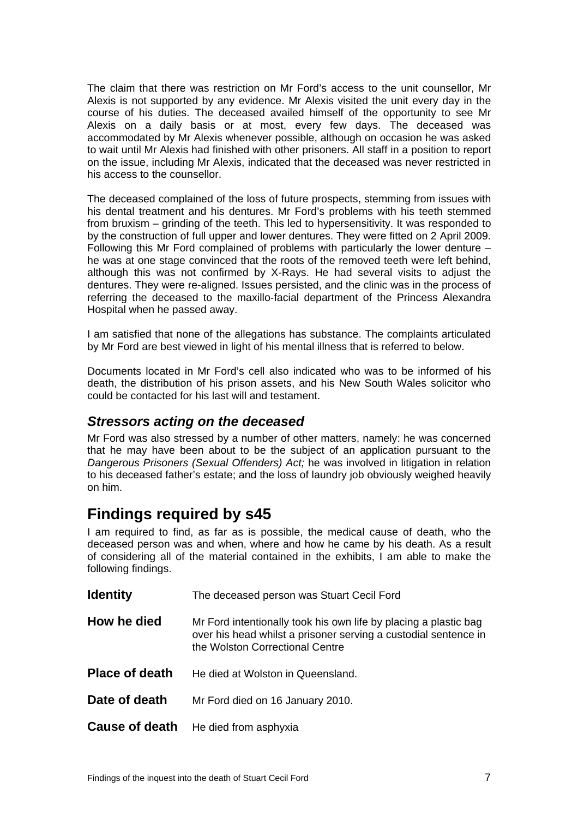<span id="page-8-0"></span>The claim that there was restriction on Mr Ford's access to the unit counsellor, Mr Alexis is not supported by any evidence. Mr Alexis visited the unit every day in the course of his duties. The deceased availed himself of the opportunity to see Mr Alexis on a daily basis or at most, every few days. The deceased was accommodated by Mr Alexis whenever possible, although on occasion he was asked to wait until Mr Alexis had finished with other prisoners. All staff in a position to report on the issue, including Mr Alexis, indicated that the deceased was never restricted in his access to the counsellor.

The deceased complained of the loss of future prospects, stemming from issues with his dental treatment and his dentures. Mr Ford's problems with his teeth stemmed from bruxism – grinding of the teeth. This led to hypersensitivity. It was responded to by the construction of full upper and lower dentures. They were fitted on 2 April 2009. Following this Mr Ford complained of problems with particularly the lower denture – he was at one stage convinced that the roots of the removed teeth were left behind, although this was not confirmed by X-Rays. He had several visits to adjust the dentures. They were re-aligned. Issues persisted, and the clinic was in the process of referring the deceased to the maxillo-facial department of the Princess Alexandra Hospital when he passed away.

I am satisfied that none of the allegations has substance. The complaints articulated by Mr Ford are best viewed in light of his mental illness that is referred to below.

Documents located in Mr Ford's cell also indicated who was to be informed of his death, the distribution of his prison assets, and his New South Wales solicitor who could be contacted for his last will and testament.

#### *Stressors acting on the deceased*

Mr Ford was also stressed by a number of other matters, namely: he was concerned that he may have been about to be the subject of an application pursuant to the *Dangerous Prisoners (Sexual Offenders) Act;* he was involved in litigation in relation to his deceased father's estate; and the loss of laundry job obviously weighed heavily on him.

## **Findings required by s45**

I am required to find, as far as is possible, the medical cause of death, who the deceased person was and when, where and how he came by his death. As a result of considering all of the material contained in the exhibits, I am able to make the following findings.

| <b>Identity</b>       | The deceased person was Stuart Cecil Ford                                                                                                                              |
|-----------------------|------------------------------------------------------------------------------------------------------------------------------------------------------------------------|
| How he died           | Mr Ford intentionally took his own life by placing a plastic bag<br>over his head whilst a prisoner serving a custodial sentence in<br>the Wolston Correctional Centre |
| <b>Place of death</b> | He died at Wolston in Queensland.                                                                                                                                      |
| Date of death         | Mr Ford died on 16 January 2010.                                                                                                                                       |
|                       | <b>Cause of death</b> He died from asphyxia                                                                                                                            |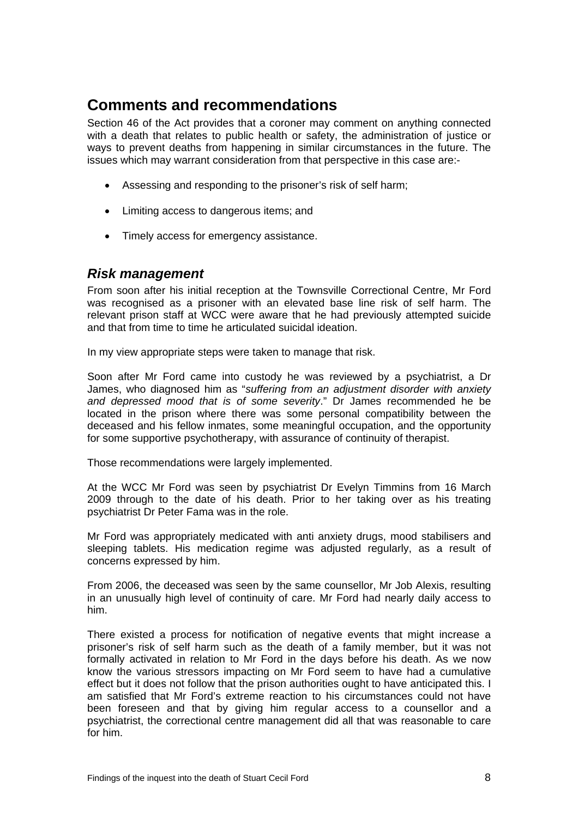## <span id="page-9-0"></span>**Comments and recommendations**

Section 46 of the Act provides that a coroner may comment on anything connected with a death that relates to public health or safety, the administration of justice or ways to prevent deaths from happening in similar circumstances in the future. The issues which may warrant consideration from that perspective in this case are:-

- Assessing and responding to the prisoner's risk of self harm;
- Limiting access to dangerous items; and
- Timely access for emergency assistance.

#### *Risk management*

From soon after his initial reception at the Townsville Correctional Centre, Mr Ford was recognised as a prisoner with an elevated base line risk of self harm. The relevant prison staff at WCC were aware that he had previously attempted suicide and that from time to time he articulated suicidal ideation.

In my view appropriate steps were taken to manage that risk.

Soon after Mr Ford came into custody he was reviewed by a psychiatrist, a Dr James, who diagnosed him as "*suffering from an adjustment disorder with anxiety and depressed mood that is of some severity*." Dr James recommended he be located in the prison where there was some personal compatibility between the deceased and his fellow inmates, some meaningful occupation, and the opportunity for some supportive psychotherapy, with assurance of continuity of therapist.

Those recommendations were largely implemented.

At the WCC Mr Ford was seen by psychiatrist Dr Evelyn Timmins from 16 March 2009 through to the date of his death. Prior to her taking over as his treating psychiatrist Dr Peter Fama was in the role.

Mr Ford was appropriately medicated with anti anxiety drugs, mood stabilisers and sleeping tablets. His medication regime was adjusted regularly, as a result of concerns expressed by him.

From 2006, the deceased was seen by the same counsellor, Mr Job Alexis, resulting in an unusually high level of continuity of care. Mr Ford had nearly daily access to him.

There existed a process for notification of negative events that might increase a prisoner's risk of self harm such as the death of a family member, but it was not formally activated in relation to Mr Ford in the days before his death. As we now know the various stressors impacting on Mr Ford seem to have had a cumulative effect but it does not follow that the prison authorities ought to have anticipated this. I am satisfied that Mr Ford's extreme reaction to his circumstances could not have been foreseen and that by giving him regular access to a counsellor and a psychiatrist, the correctional centre management did all that was reasonable to care for him.